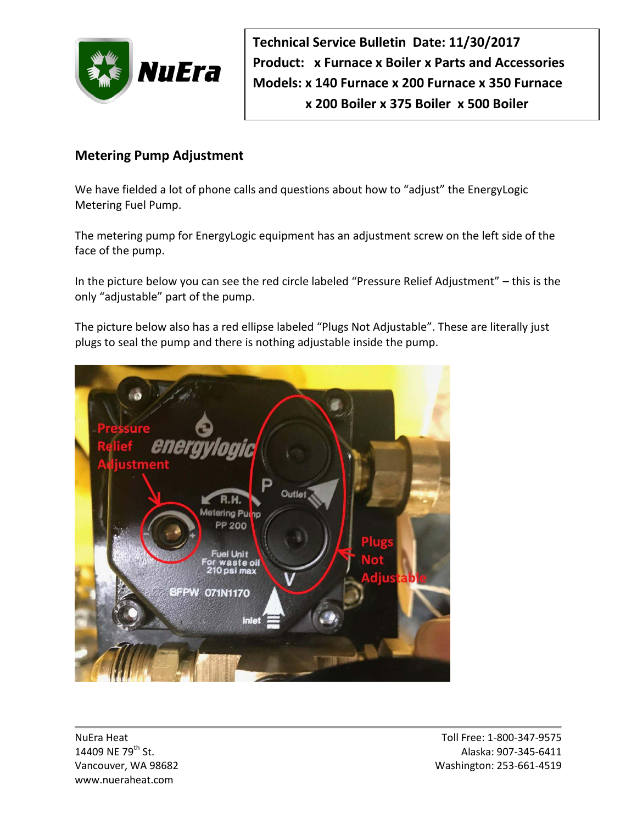

Technical Service Bulletin Date: 11/30/2017 **Product: x Furnace x Boiler x Parts and Accessories** Models: x 140 Furnace x 200 Furnace x 350 Furnace x 200 Boiler x 375 Boiler x 500 Boiler

## **Metering Pump Adjustment**

We have fielded a lot of phone calls and questions about how to "adjust" the EnergyLogic Metering Fuel Pump.

The metering pump for EnergyLogic equipment has an adjustment screw on the left side of the face of the pump.

In the picture below you can see the red circle labeled "Pressure Relief Adjustment" - this is the only "adjustable" part of the pump.

The picture below also has a red ellipse labeled "Plugs Not Adjustable". These are literally just plugs to seal the pump and there is nothing adjustable inside the pump.



NuEra Heat 14409 NE 79th St. Vancouver, WA 98682 www.nueraheat.com

Toll Free: 1-800-347-9575 Alaska: 907-345-6411 Washington: 253-661-4519